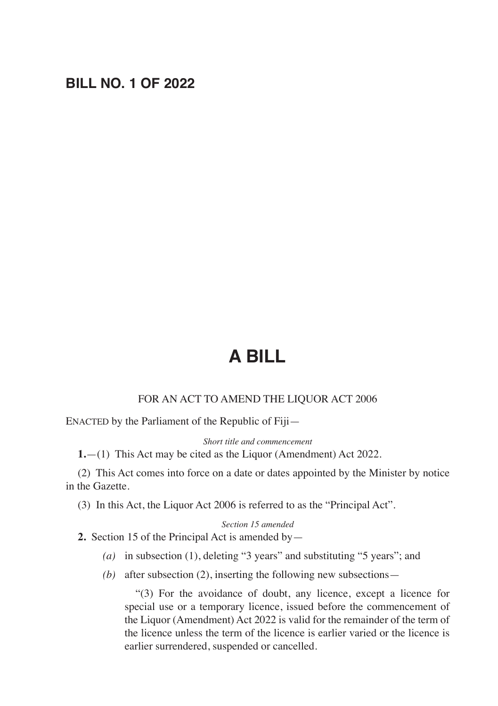## **BILL NO. 1 OF 2022**

# **A BILL**

#### FOR AN ACT TO AMEND THE LIQUOR ACT 2006

ENACTED by the Parliament of the Republic of Fiji—

*Short title and commencement*

**1.**—(1) This Act may be cited as the Liquor (Amendment) Act 2022.

(2) This Act comes into force on a date or dates appointed by the Minister by notice in the Gazette.

(3) In this Act, the Liquor Act 2006 is referred to as the "Principal Act".

#### *Section 15 amended*

**2.** Section 15 of the Principal Act is amended by—

- *(a)* in subsection (1), deleting "3 years" and substituting "5 years"; and
- *(b)* after subsection (2), inserting the following new subsections—

 "(3) For the avoidance of doubt, any licence, except a licence for special use or a temporary licence, issued before the commencement of the Liquor (Amendment) Act 2022 is valid for the remainder of the term of the licence unless the term of the licence is earlier varied or the licence is earlier surrendered, suspended or cancelled.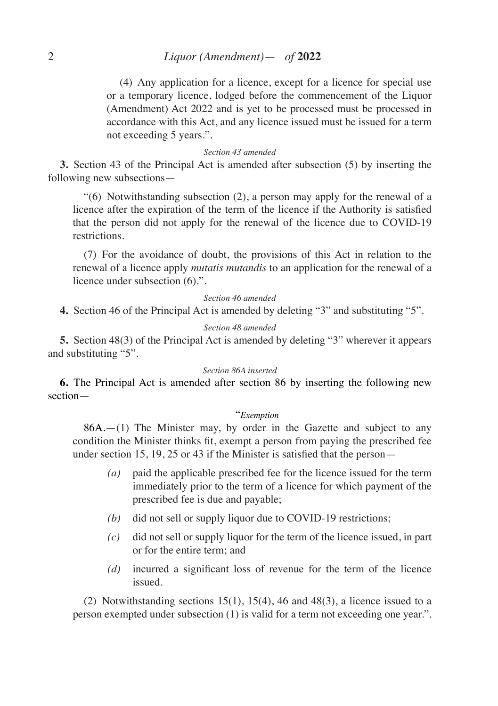(4) Any application for a licence, except for a licence for special use or a temporary licence, lodged before the commencement of the Liquor (Amendment) Act 2022 and is yet to be processed must be processed in accordance with this Act, and any licence issued must be issued for a term not exceeding 5 years.".

#### *Section 43 amended*

**3.** Section 43 of the Principal Act is amended after subsection (5) by inserting the following new subsections—

"(6) Notwithstanding subsection (2), a person may apply for the renewal of a licence after the expiration of the term of the licence if the Authority is satisfied that the person did not apply for the renewal of the licence due to COVID-19 restrictions.

(7) For the avoidance of doubt, the provisions of this Act in relation to the renewal of a licence apply *mutatis mutandis* to an application for the renewal of a licence under subsection (6).".

#### *Section 46 amended*

**4.** Section 46 of the Principal Act is amended by deleting "3" and substituting "5".

#### *Section 48 amended*

**5.** Section 48(3) of the Principal Act is amended by deleting "3" wherever it appears and substituting "5".

#### *Section 86A inserted*

**6.** The Principal Act is amended after section 86 by inserting the following new section—

#### "*Exemption*

 $86A$ .  $-(1)$  The Minister may, by order in the Gazette and subject to any condition the Minister thinks fit, exempt a person from paying the prescribed fee under section 15, 19, 25 or 43 if the Minister is satisfied that the person—

- *(a)* paid the applicable prescribed fee for the licence issued for the term immediately prior to the term of a licence for which payment of the prescribed fee is due and payable;
- *(b)* did not sell or supply liquor due to COVID-19 restrictions;
- *(c)* did not sell or supply liquor for the term of the licence issued, in part or for the entire term; and
- *(d)* incurred a significant loss of revenue for the term of the licence issued.

(2) Notwithstanding sections  $15(1)$ ,  $15(4)$ , 46 and 48(3), a licence issued to a person exempted under subsection (1) is valid for a term not exceeding one year.".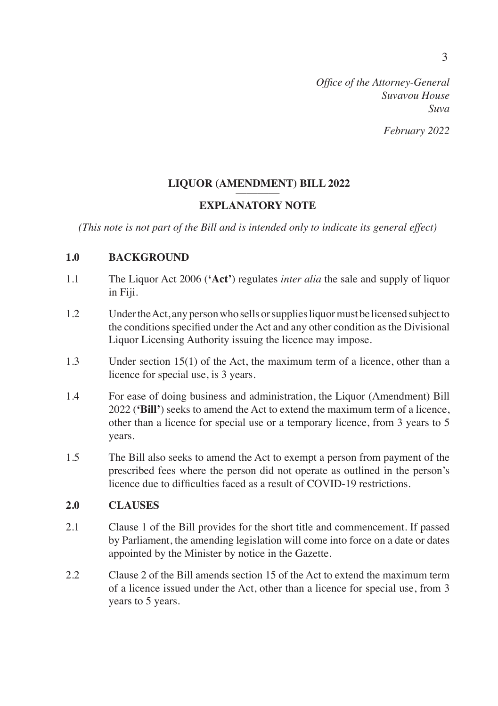## **LIQUOR (AMENDMENT) BILL 2022**

## **EXPLANATORY NOTE**

*(This note is not part of the Bill and is intended only to indicate its general effect)*

### **1.0 BACKGROUND**

- 1.1 The Liquor Act 2006 (**'Act'**) regulates *inter alia* the sale and supply of liquor in Fiji.
- 1.2 Under the Act, any person who sells or supplies liquor must be licensed subject to the conditions specified under the Act and any other condition as the Divisional Liquor Licensing Authority issuing the licence may impose.
- 1.3 Under section 15(1) of the Act, the maximum term of a licence, other than a licence for special use, is 3 years.
- 1.4 For ease of doing business and administration, the Liquor (Amendment) Bill 2022 (**'Bill'**) seeks to amend the Act to extend the maximum term of a licence, other than a licence for special use or a temporary licence, from 3 years to 5 years.
- 1.5 The Bill also seeks to amend the Act to exempt a person from payment of the prescribed fees where the person did not operate as outlined in the person's licence due to difficulties faced as a result of COVID-19 restrictions.

## **2.0 CLAUSES**

- 2.1 Clause 1 of the Bill provides for the short title and commencement. If passed by Parliament, the amending legislation will come into force on a date or dates appointed by the Minister by notice in the Gazette.
- 2.2 Clause 2 of the Bill amends section 15 of the Act to extend the maximum term of a licence issued under the Act, other than a licence for special use, from 3 years to 5 years.